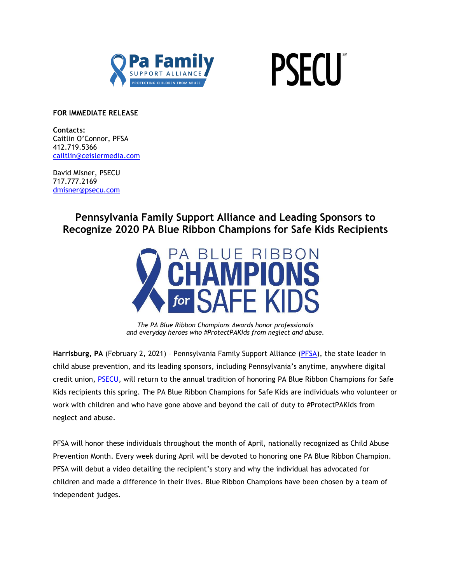



**FOR IMMEDIATE RELEASE**

**Contacts:** Caitlin O'Connor, PFSA 412.719.5366 [cailtlin@ceislermedia.com](mailto:cailtlin@ceislermedia.com)

David Misner, PSECU 717.777.2169 [dmisner@psecu.com](mailto:dmisner@psecu.com)

> **Pennsylvania Family Support Alliance and Leading Sponsors to Recognize 2020 PA Blue Ribbon Champions for Safe Kids Recipients**



*The PA Blue Ribbon Champions Awards honor professionals and everyday heroes who #ProtectPAKids from neglect and abuse.*

**Harrisburg, PA** (February 2, 2021) – Pennsylvania Family Support Alliance [\(PFSA\)](http://www.pa-fsa.org/), the state leader in child abuse prevention, and its leading sponsors, including Pennsylvania's anytime, anywhere digital credit union, [PSECU,](https://www.psecu.com/) will return to the annual tradition of honoring PA Blue Ribbon Champions for Safe Kids recipients this spring. The PA Blue Ribbon Champions for Safe Kids are individuals who volunteer or work with children and who have gone above and beyond the call of duty to #ProtectPAKids from neglect and abuse.

PFSA will honor these individuals throughout the month of April, nationally recognized as Child Abuse Prevention Month. Every week during April will be devoted to honoring one PA Blue Ribbon Champion. PFSA will debut a video detailing the recipient's story and why the individual has advocated for children and made a difference in their lives. Blue Ribbon Champions have been chosen by a team of independent judges.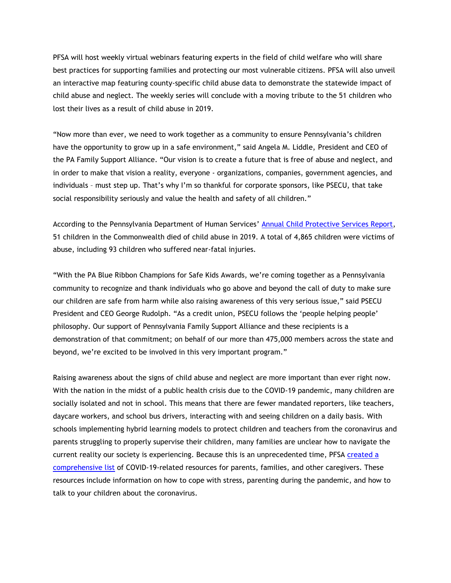PFSA will host weekly virtual webinars featuring experts in the field of child welfare who will share best practices for supporting families and protecting our most vulnerable citizens. PFSA will also unveil an interactive map featuring county-specific child abuse data to demonstrate the statewide impact of child abuse and neglect. The weekly series will conclude with a moving tribute to the 51 children who lost their lives as a result of child abuse in 2019.

"Now more than ever, we need to work together as a community to ensure Pennsylvania's children have the opportunity to grow up in a safe environment," said Angela M. Liddle, President and CEO of the PA Family Support Alliance. "Our vision is to create a future that is free of abuse and neglect, and in order to make that vision a reality, everyone - organizations, companies, government agencies, and individuals – must step up. That's why I'm so thankful for corporate sponsors, like PSECU, that take social responsibility seriously and value the health and safety of all children."

According to the Pennsylvania Department of Human Services' [Annual Child Protective Services Report,](https://www.dhs.pa.gov/docs/Publications/Documents/2019%20Child%20Protective%20Services%20Annual%20Report_FINAL050720.pdf) 51 children in the Commonwealth died of child abuse in 2019. A total of 4,865 children were victims of abuse, including 93 children who suffered near-fatal injuries.

"With the PA Blue Ribbon Champions for Safe Kids Awards, we're coming together as a Pennsylvania community to recognize and thank individuals who go above and beyond the call of duty to make sure our children are safe from harm while also raising awareness of this very serious issue," said PSECU President and CEO George Rudolph. "As a credit union, PSECU follows the 'people helping people' philosophy. Our support of Pennsylvania Family Support Alliance and these recipients is a demonstration of that commitment; on behalf of our more than 475,000 members across the state and beyond, we're excited to be involved in this very important program."

Raising awareness about the signs of child abuse and neglect are more important than ever right now. With the nation in the midst of a public health crisis due to the COVID-19 pandemic, many children are socially isolated and not in school. This means that there are fewer mandated reporters, like teachers, daycare workers, and school bus drivers, interacting with and seeing children on a daily basis. With schools implementing hybrid learning models to protect children and teachers from the coronavirus and parents struggling to properly supervise their children, many families are unclear how to navigate the current reality our society is experiencing. Because this is an unprecedented time, PFSA [created a](https://pafsa.org/dealing-with-covid-19/) [comprehensive list](https://pafsa.org/dealing-with-covid-19/) of COVID-19-related resources for parents, families, and other caregivers. These resources include information on how to cope with stress, parenting during the pandemic, and how to talk to your children about the coronavirus.